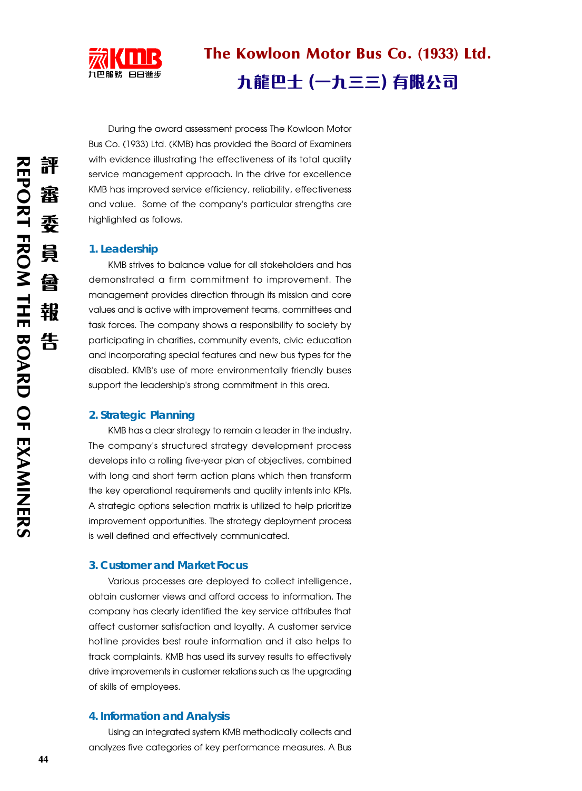

# The Kowloon Motor Bus Co. (1933) Ltd.

# 九龍巴士 (一九三三) 有限公司

During the award assessment process The Kowloon Motor Bus Co. (1933) Ltd. (KMB) has provided the Board of Examiners with evidence illustrating the effectiveness of its total quality service management approach. In the drive for excellence KMB has improved service efficiency, reliability, effectiveness and value. Some of the company's particular strengths are highlighted as follows.

# **1. Leadership**

KMB strives to balance value for all stakeholders and has demonstrated a firm commitment to improvement. The management provides direction through its mission and core values and is active with improvement teams, committees and task forces. The company shows a responsibility to society by participating in charities, community events, civic education and incorporating special features and new bus types for the disabled. KMB's use of more environmentally friendly buses support the leadership's strong commitment in this area.

# **2. Strategic Planning**

KMB has a clear strategy to remain a leader in the industry. The company's structured strategy development process develops into a rolling five-year plan of objectives, combined with long and short term action plans which then transform the key operational requirements and quality intents into KPIs. A strategic options selection matrix is utilized to help prioritize improvement opportunities. The strategy deployment process is well defined and effectively communicated.

#### **3. Customer and Market Focus**

Various processes are deployed to collect intelligence, obtain customer views and afford access to information. The company has clearly identified the key service attributes that affect customer satisfaction and loyalty. A customer service hotline provides best route information and it also helps to track complaints. KMB has used its survey results to effectively drive improvements in customer relations such as the upgrading of skills of employees.

#### **4. Information and Analysis**

Using an integrated system KMB methodically collects and analyzes five categories of key performance measures. A Bus